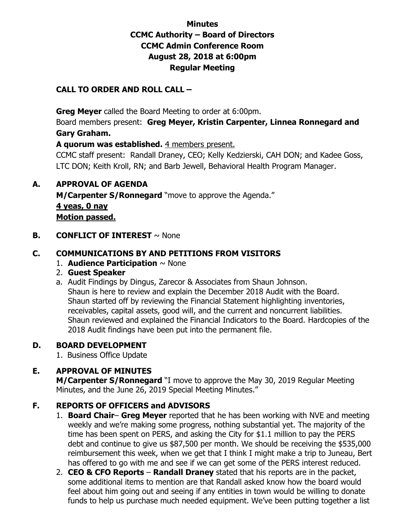## **Minutes CCMC Authority – Board of Directors CCMC Admin Conference Room August 28, 2018 at 6:00pm Regular Meeting**

## **CALL TO ORDER AND ROLL CALL –**

 **Greg Meyer** called the Board Meeting to order at 6:00pm.

Board members present: **Greg Meyer, Kristin Carpenter, Linnea Ronnegard and Gary Graham.** 

**A quorum was established.** 4 members present.

CCMC staff present: Randall Draney, CEO; Kelly Kedzierski, CAH DON; and Kadee Goss, LTC DON; Keith Kroll, RN; and Barb Jewell, Behavioral Health Program Manager.

## **A. APPROVAL OF AGENDA**

**M/Carpenter S/Ronnegard** "move to approve the Agenda." **4 yeas, 0 nay Motion passed.** 

**B. CONFLICT OF INTEREST**  $\sim$  None

## **C. COMMUNICATIONS BY AND PETITIONS FROM VISITORS**

- 1. **Audience Participation** ~ None
- 2. **Guest Speaker**
- a. Audit Findings by Dingus, Zarecor & Associates from Shaun Johnson. Shaun is here to review and explain the December 2018 Audit with the Board. Shaun started off by reviewing the Financial Statement highlighting inventories, receivables, capital assets, good will, and the current and noncurrent liabilities. Shaun reviewed and explained the Financial Indicators to the Board. Hardcopies of the 2018 Audit findings have been put into the permanent file.

## **D. BOARD DEVELOPMENT**

1.Business Office Update

## **E. APPROVAL OF MINUTES**

 **M/Carpenter S/Ronnegard** "I move to approve the May 30, 2019 Regular Meeting Minutes, and the June 26, 2019 Special Meeting Minutes."

## **F. REPORTS OF OFFICERS and ADVISORS**

- 1. **Board Chair Greg Meyer** reported that he has been working with NVE and meeting weekly and we're making some progress, nothing substantial yet. The majority of the time has been spent on PERS, and asking the City for \$1.1 million to pay the PERS debt and continue to give us \$87,500 per month. We should be receiving the \$535,000 reimbursement this week, when we get that I think I might make a trip to Juneau, Bert has offered to go with me and see if we can get some of the PERS interest reduced.
- 2. **CEO & CFO Reports Randall Draney** stated that his reports are in the packet, some additional items to mention are that Randall asked know how the board would feel about him going out and seeing if any entities in town would be willing to donate funds to help us purchase much needed equipment. We've been putting together a list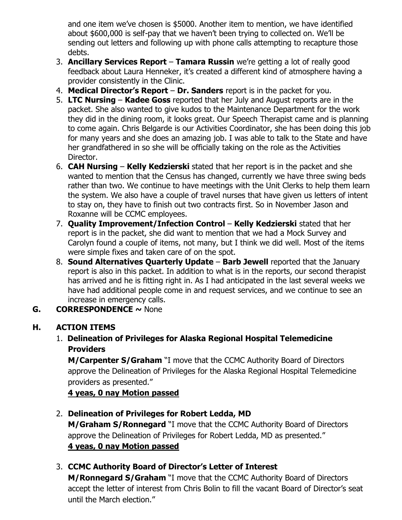and one item we've chosen is \$5000. Another item to mention, we have identified about \$600,000 is self-pay that we haven't been trying to collected on. We'll be sending out letters and following up with phone calls attempting to recapture those debts.

- 3. **Ancillary Services Report Tamara Russin** we're getting a lot of really good feedback about Laura Henneker, it's created a different kind of atmosphere having a provider consistently in the Clinic.
- 4. **Medical Director's Report Dr. Sanders** report is in the packet for you.
- 5. **LTC Nursing Kadee Goss** reported that her July and August reports are in the packet. She also wanted to give kudos to the Maintenance Department for the work they did in the dining room, it looks great. Our Speech Therapist came and is planning to come again. Chris Belgarde is our Activities Coordinator, she has been doing this job for many years and she does an amazing job. I was able to talk to the State and have her grandfathered in so she will be officially taking on the role as the Activities Director.
- 6. **CAH Nursing Kelly Kedzierski** stated that her report is in the packet and she wanted to mention that the Census has changed, currently we have three swing beds rather than two. We continue to have meetings with the Unit Clerks to help them learn the system. We also have a couple of travel nurses that have given us letters of intent to stay on, they have to finish out two contracts first. So in November Jason and Roxanne will be CCMC employees.
- 7. **Quality Improvement/Infection Control Kelly Kedzierski** stated that her report is in the packet, she did want to mention that we had a Mock Survey and Carolyn found a couple of items, not many, but I think we did well. Most of the items were simple fixes and taken care of on the spot.
- 8. **Sound Alternatives Quarterly Update Barb Jewell** reported that the January report is also in this packet. In addition to what is in the reports, our second therapist has arrived and he is fitting right in. As I had anticipated in the last several weeks we have had additional people come in and request services, and we continue to see an increase in emergency calls.
- **G. CORRESPONDENCE ~** None

# **H. ACTION ITEMS**

1. **Delineation of Privileges for Alaska Regional Hospital Telemedicine Providers** 

**M/Carpenter S/Graham** "I move that the CCMC Authority Board of Directors approve the Delineation of Privileges for the Alaska Regional Hospital Telemedicine providers as presented."

**4 yeas, 0 nay Motion passed** 

# 2. **Delineation of Privileges for Robert Ledda, MD**

**M/Graham S/Ronnegard** "I move that the CCMC Authority Board of Directors approve the Delineation of Privileges for Robert Ledda, MD as presented." **4 yeas, 0 nay Motion passed** 

# 3. **CCMC Authority Board of Director's Letter of Interest**

**M/Ronnegard S/Graham** "I move that the CCMC Authority Board of Directors accept the letter of interest from Chris Bolin to fill the vacant Board of Director's seat until the March election."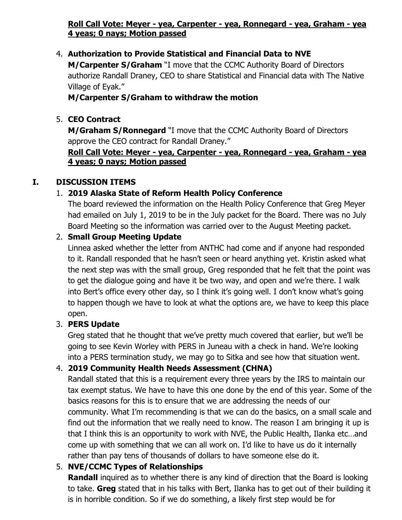## **Roll Call Vote: Meyer - yea, Carpenter - yea, Ronnegard - yea, Graham - yea 4 yeas; 0 nays; Motion passed**

## 4. **Authorization to Provide Statistical and Financial Data to NVE**

**M/Carpenter S/Graham** "I move that the CCMC Authority Board of Directors authorize Randall Draney, CEO to share Statistical and Financial data with The Native Village of Eyak."

#### **M/Carpenter S/Graham to withdraw the motion**

#### 5. **CEO Contract**

**M/Graham S/Ronnegard** "I move that the CCMC Authority Board of Directors approve the CEO contract for Randall Draney."

#### **Roll Call Vote: Meyer - yea, Carpenter - yea, Ronnegard - yea, Graham - yea 4 yeas; 0 nays; Motion passed**

## **I. DISCUSSION ITEMS**

## 1. **2019 Alaska State of Reform Health Policy Conference**

The board reviewed the information on the Health Policy Conference that Greg Meyer had emailed on July 1, 2019 to be in the July packet for the Board. There was no July Board Meeting so the information was carried over to the August Meeting packet.

#### 2. **Small Group Meeting Update**

Linnea asked whether the letter from ANTHC had come and if anyone had responded to it. Randall responded that he hasn't seen or heard anything yet. Kristin asked what the next step was with the small group, Greg responded that he felt that the point was to get the dialogue going and have it be two way, and open and we're there. I walk into Bert's office every other day, so I think it's going well. I don't know what's going to happen though we have to look at what the options are, we have to keep this place open.

#### 3. **PERS Update**

Greg stated that he thought that we've pretty much covered that earlier, but we'll be going to see Kevin Worley with PERS in Juneau with a check in hand. We're looking into a PERS termination study, we may go to Sitka and see how that situation went.

#### 4. **2019 Community Health Needs Assessment (CHNA)**

Randall stated that this is a requirement every three years by the IRS to maintain our tax exempt status. We have to have this one done by the end of this year. Some of the basics reasons for this is to ensure that we are addressing the needs of our community. What I'm recommending is that we can do the basics, on a small scale and find out the information that we really need to know. The reason I am bringing it up is that I think this is an opportunity to work with NVE, the Public Health, Ilanka etc…and come up with something that we can all work on. I'd like to have us do it internally rather than pay tens of thousands of dollars to have someone else do it.

## 5. **NVE/CCMC Types of Relationships**

**Randall** inquired as to whether there is any kind of direction that the Board is looking to take. **Greg** stated that in his talks with Bert, Ilanka has to get out of their building it is in horrible condition. So if we do something, a likely first step would be for